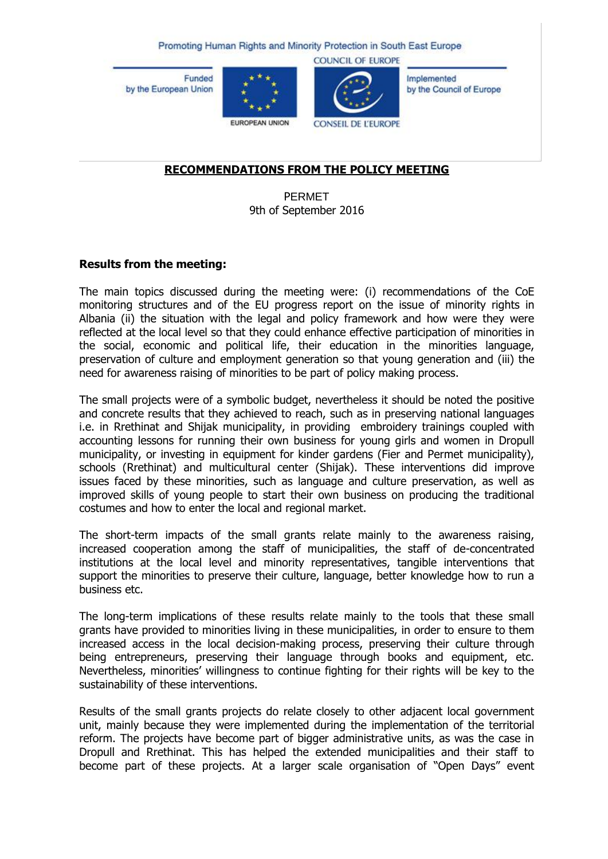Promoting Human Rights and Minority Protection in South East Europe

**Funded** by the European Union





**COUNCIL OF EUROPE** 

Implemented by the Council of Europe

EUROPEAN UNION

**CONSEIL DE L'EUROPE** 

## **RECOMMENDATIONS FROM THE POLICY MEETING**

PERMET 9th of September 2016

### **Results from the meeting:**

The main topics discussed during the meeting were: (i) recommendations of the CoE monitoring structures and of the EU progress report on the issue of minority rights in Albania (ii) the situation with the legal and policy framework and how were they were reflected at the local level so that they could enhance effective participation of minorities in the social, economic and political life, their education in the minorities language, preservation of culture and employment generation so that young generation and (iii) the need for awareness raising of minorities to be part of policy making process.

The small projects were of a symbolic budget, nevertheless it should be noted the positive and concrete results that they achieved to reach, such as in preserving national languages i.e. in Rrethinat and Shijak municipality, in providing embroidery trainings coupled with accounting lessons for running their own business for young girls and women in Dropull municipality, or investing in equipment for kinder gardens (Fier and Permet municipality), schools (Rrethinat) and multicultural center (Shijak). These interventions did improve issues faced by these minorities, such as language and culture preservation, as well as improved skills of young people to start their own business on producing the traditional costumes and how to enter the local and regional market.

The short-term impacts of the small grants relate mainly to the awareness raising, increased cooperation among the staff of municipalities, the staff of de-concentrated institutions at the local level and minority representatives, tangible interventions that support the minorities to preserve their culture, language, better knowledge how to run a business etc.

The long-term implications of these results relate mainly to the tools that these small grants have provided to minorities living in these municipalities, in order to ensure to them increased access in the local decision-making process, preserving their culture through being entrepreneurs, preserving their language through books and equipment, etc. Nevertheless, minorities' willingness to continue fighting for their rights will be key to the sustainability of these interventions.

Results of the small grants projects do relate closely to other adjacent local government unit, mainly because they were implemented during the implementation of the territorial reform. The projects have become part of bigger administrative units, as was the case in Dropull and Rrethinat. This has helped the extended municipalities and their staff to become part of these projects. At a larger scale organisation of "Open Days" event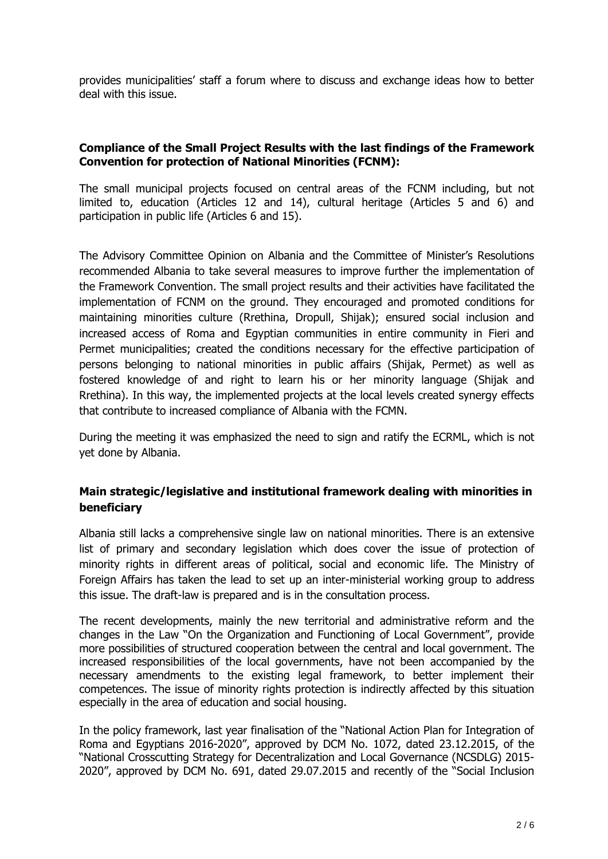provides municipalities' staff a forum where to discuss and exchange ideas how to better deal with this issue.

## **Compliance of the Small Project Results with the last findings of the Framework Convention for protection of National Minorities (FCNM):**

The small municipal projects focused on central areas of the FCNM including, but not limited to, education (Articles 12 and 14), cultural heritage (Articles 5 and 6) and participation in public life (Articles 6 and 15).

The Advisory Committee Opinion on Albania and the Committee of Minister's Resolutions recommended Albania to take several measures to improve further the implementation of the Framework Convention. The small project results and their activities have facilitated the implementation of FCNM on the ground. They encouraged and promoted conditions for maintaining minorities culture (Rrethina, Dropull, Shijak); ensured social inclusion and increased access of Roma and Egyptian communities in entire community in Fieri and Permet municipalities; created the conditions necessary for the effective participation of persons belonging to national minorities in public affairs (Shijak, Permet) as well as fostered knowledge of and right to learn his or her minority language (Shijak and Rrethina). In this way, the implemented projects at the local levels created synergy effects that contribute to increased compliance of Albania with the FCMN.

During the meeting it was emphasized the need to sign and ratify the ECRML, which is not yet done by Albania.

# **Main strategic/legislative and institutional framework dealing with minorities in beneficiary**

Albania still lacks a comprehensive single law on national minorities. There is an extensive list of primary and secondary legislation which does cover the issue of protection of minority rights in different areas of political, social and economic life. The Ministry of Foreign Affairs has taken the lead to set up an inter-ministerial working group to address this issue. The draft-law is prepared and is in the consultation process.

The recent developments, mainly the new territorial and administrative reform and the changes in the Law "On the Organization and Functioning of Local Government", provide more possibilities of structured cooperation between the central and local government. The increased responsibilities of the local governments, have not been accompanied by the necessary amendments to the existing legal framework, to better implement their competences. The issue of minority rights protection is indirectly affected by this situation especially in the area of education and social housing.

In the policy framework, last year finalisation of the "National Action Plan for Integration of Roma and Egyptians 2016-2020", approved by DCM No. 1072, dated 23.12.2015, of the "National Crosscutting Strategy for Decentralization and Local Governance (NCSDLG) 2015- 2020", approved by DCM No. 691, dated 29.07.2015 and recently of the "Social Inclusion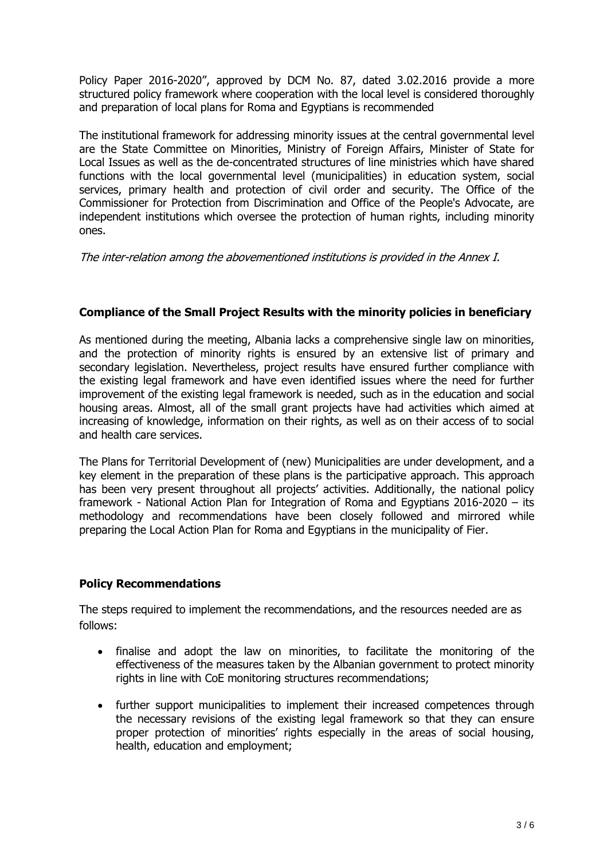Policy Paper 2016-2020", approved by DCM No. 87, dated 3.02.2016 provide a more structured policy framework where cooperation with the local level is considered thoroughly and preparation of local plans for Roma and Egyptians is recommended

The institutional framework for addressing minority issues at the central governmental level are the State Committee on Minorities, Ministry of Foreign Affairs, Minister of State for Local Issues as well as the de-concentrated structures of line ministries which have shared functions with the local governmental level (municipalities) in education system, social services, primary health and protection of civil order and security. The Office of the Commissioner for Protection from Discrimination and Office of the People's Advocate, are independent institutions which oversee the protection of human rights, including minority ones.

The inter-relation among the abovementioned institutions is provided in the Annex I.

# **Compliance of the Small Project Results with the minority policies in beneficiary**

As mentioned during the meeting, Albania lacks a comprehensive single law on minorities, and the protection of minority rights is ensured by an extensive list of primary and secondary legislation. Nevertheless, project results have ensured further compliance with the existing legal framework and have even identified issues where the need for further improvement of the existing legal framework is needed, such as in the education and social housing areas. Almost, all of the small grant projects have had activities which aimed at increasing of knowledge, information on their rights, as well as on their access of to social and health care services.

The Plans for Territorial Development of (new) Municipalities are under development, and a key element in the preparation of these plans is the participative approach. This approach has been very present throughout all projects' activities. Additionally, the national policy framework - National Action Plan for Integration of Roma and Egyptians 2016-2020 – its methodology and recommendations have been closely followed and mirrored while preparing the Local Action Plan for Roma and Egyptians in the municipality of Fier.

# **Policy Recommendations**

The steps required to implement the recommendations, and the resources needed are as follows:

- finalise and adopt the law on minorities, to facilitate the monitoring of the effectiveness of the measures taken by the Albanian government to protect minority rights in line with CoE monitoring structures recommendations;
- further support municipalities to implement their increased competences through the necessary revisions of the existing legal framework so that they can ensure proper protection of minorities' rights especially in the areas of social housing, health, education and employment;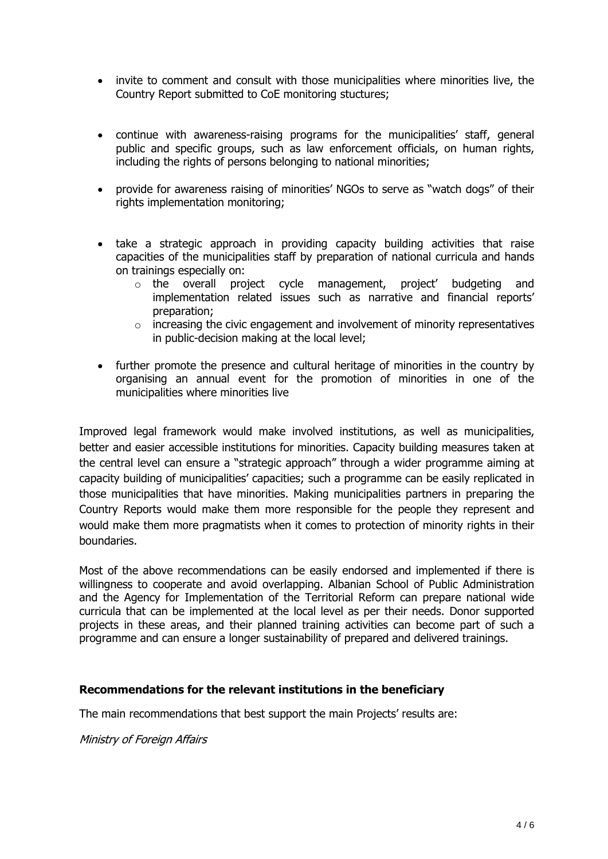- invite to comment and consult with those municipalities where minorities live, the Country Report submitted to CoE monitoring stuctures;
- continue with awareness-raising programs for the municipalities' staff, general public and specific groups, such as law enforcement officials, on human rights, including the rights of persons belonging to national minorities;
- provide for awareness raising of minorities' NGOs to serve as "watch dogs" of their rights implementation monitoring;
- take a strategic approach in providing capacity building activities that raise capacities of the municipalities staff by preparation of national curricula and hands on trainings especially on:
	- o the overall project cycle management, project' budgeting and implementation related issues such as narrative and financial reports' preparation;
	- $\circ$  increasing the civic engagement and involvement of minority representatives in public-decision making at the local level;
- further promote the presence and cultural heritage of minorities in the country by organising an annual event for the promotion of minorities in one of the municipalities where minorities live

Improved legal framework would make involved institutions, as well as municipalities, better and easier accessible institutions for minorities. Capacity building measures taken at the central level can ensure a "strategic approach" through a wider programme aiming at capacity building of municipalities' capacities; such a programme can be easily replicated in those municipalities that have minorities. Making municipalities partners in preparing the Country Reports would make them more responsible for the people they represent and would make them more pragmatists when it comes to protection of minority rights in their boundaries.

Most of the above recommendations can be easily endorsed and implemented if there is willingness to cooperate and avoid overlapping. Albanian School of Public Administration and the Agency for Implementation of the Territorial Reform can prepare national wide curricula that can be implemented at the local level as per their needs. Donor supported projects in these areas, and their planned training activities can become part of such a programme and can ensure a longer sustainability of prepared and delivered trainings.

#### **Recommendations for the relevant institutions in the beneficiary**

The main recommendations that best support the main Projects' results are:

Ministry of Foreign Affairs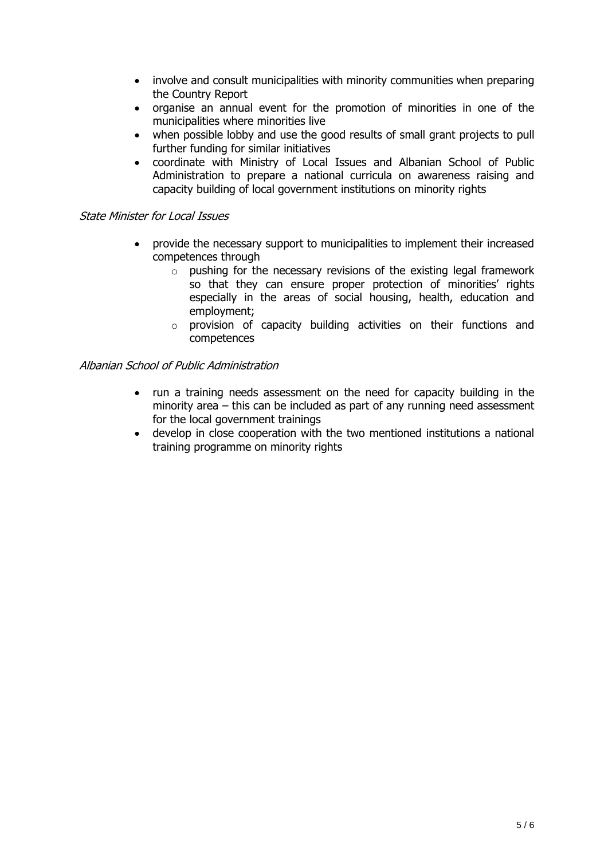- involve and consult municipalities with minority communities when preparing the Country Report
- organise an annual event for the promotion of minorities in one of the municipalities where minorities live
- when possible lobby and use the good results of small grant projects to pull further funding for similar initiatives
- coordinate with Ministry of Local Issues and Albanian School of Public Administration to prepare a national curricula on awareness raising and capacity building of local government institutions on minority rights

### State Minister for Local Issues

- provide the necessary support to municipalities to implement their increased competences through
	- $\circ$  pushing for the necessary revisions of the existing legal framework so that they can ensure proper protection of minorities' rights especially in the areas of social housing, health, education and employment;
	- o provision of capacity building activities on their functions and competences

#### Albanian School of Public Administration

- run a training needs assessment on the need for capacity building in the minority area – this can be included as part of any running need assessment for the local government trainings
- develop in close cooperation with the two mentioned institutions a national training programme on minority rights